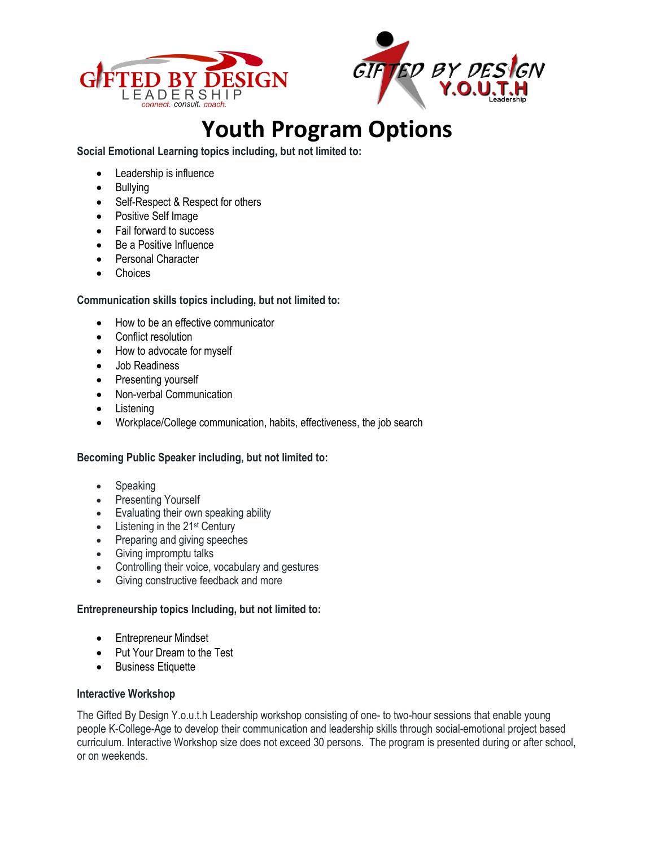



## **Youth Program Options**

**Social Emotional Learning topics including, but not limited to:** 

- Leadership is influence
- Bullying
- Self-Respect & Respect for others
- Positive Self Image
- Fail forward to success
- Be a Positive Influence
- Personal Character
- Choices

## **Communication skills topics including, but not limited to:**

- How to be an effective communicator
- Conflict resolution
- How to advocate for myself
- Job Readiness
- Presenting yourself
- Non-verbal Communication
- Listening
- Workplace/College communication, habits, effectiveness, the job search

## **Becoming Public Speaker including, but not limited to:**

- **Speaking**
- Presenting Yourself
- Evaluating their own speaking ability
- $\bullet$  Listening in the 21<sup>st</sup> Century
- Preparing and giving speeches
- Giving impromptu talks
- Controlling their voice, vocabulary and gestures
- Giving constructive feedback and more

## **Entrepreneurship topics Including, but not limited to:**

- Entrepreneur Mindset
- Put Your Dream to the Test
- Business Etiquette

## **Interactive Workshop**

The Gifted By Design Y.o.u.t.h Leadership workshop consisting of one- to two-hour sessions that enable young people K-College-Age to develop their communication and leadership skills through social-emotional project based curriculum. Interactive Workshop size does not exceed 30 persons. The program is presented during or after school, or on weekends.